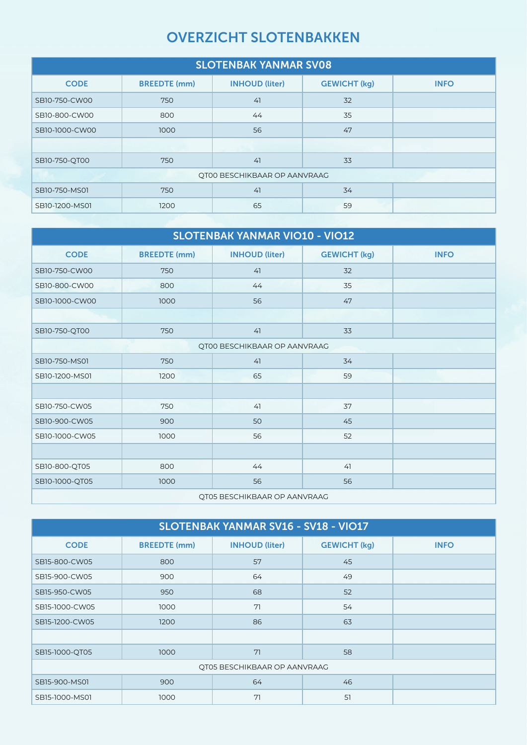## OVERZICHT SLOTENBAKKEN

| <b>SLOTENBAK YANMAR SV08</b>        |                     |                       |                     |             |  |
|-------------------------------------|---------------------|-----------------------|---------------------|-------------|--|
| <b>CODE</b>                         | <b>BREEDTE (mm)</b> | <b>INHOUD (liter)</b> | <b>GEWICHT (kg)</b> | <b>INFO</b> |  |
| SB10-750-CW00                       | 750                 | 41                    | 32                  |             |  |
| SB10-800-CW00                       | 800                 | 44                    | 35                  |             |  |
| SB10-1000-CW00                      | 1000                | 56                    | 47                  |             |  |
|                                     |                     |                       |                     |             |  |
| SB10-750-QT00                       | 750                 | 41                    | 33                  |             |  |
| <b>QT00 BESCHIKBAAR OP AANVRAAG</b> |                     |                       |                     |             |  |
| SB10-750-MS01                       | 750                 | 41                    | 34                  |             |  |
| SB10-1200-MS01                      | 1200                | 65                    | 59                  |             |  |

| <b>SLOTENBAK YANMAR VIO10 - VIO12</b> |                     |                              |                     |             |  |
|---------------------------------------|---------------------|------------------------------|---------------------|-------------|--|
| <b>CODE</b>                           | <b>BREEDTE (mm)</b> | <b>INHOUD (liter)</b>        | <b>GEWICHT (kg)</b> | <b>INFO</b> |  |
| SB10-750-CW00                         | 750                 | 41                           | 32                  |             |  |
| SB10-800-CW00                         | 800                 | 44                           | 35                  |             |  |
| SB10-1000-CW00                        | 1000                | 56                           | 47                  |             |  |
|                                       |                     |                              |                     |             |  |
| SB10-750-QT00                         | 750                 | 41                           | 33                  |             |  |
|                                       |                     | QT00 BESCHIKBAAR OP AANVRAAG |                     |             |  |
| SB10-750-MS01                         | 750                 | 41                           | 34                  |             |  |
| SB10-1200-MS01                        | 1200                | 65                           | 59                  |             |  |
|                                       |                     |                              |                     |             |  |
| SB10-750-CW05                         | 750                 | 41                           | 37                  |             |  |
| SB10-900-CW05                         | 900                 | 50                           | 45                  |             |  |
| SB10-1000-CW05                        | 1000                | 56                           | 52                  |             |  |
|                                       |                     |                              |                     |             |  |
| SB10-800-QT05                         | 800                 | 44                           | 41                  |             |  |
| SB10-1000-QT05                        | 1000                | 56                           | 56                  |             |  |
| <b>QT05 BESCHIKBAAR OP AANVRAAG</b>   |                     |                              |                     |             |  |

| SLOTENBAK YANMAR SV16 - SV18 - VIO17 |                     |                       |                     |             |  |
|--------------------------------------|---------------------|-----------------------|---------------------|-------------|--|
| <b>CODE</b>                          | <b>BREEDTE</b> (mm) | <b>INHOUD (liter)</b> | <b>GEWICHT (kg)</b> | <b>INFO</b> |  |
| SB15-800-CW05                        | 800                 | 57                    | 45                  |             |  |
| SB15-900-CW05                        | 900                 | 64                    | 49                  |             |  |
| SB15-950-CW05                        | 950                 | 68                    | 52                  |             |  |
| SB15-1000-CW05                       | 1000                | 71                    | 54                  |             |  |
| SB15-1200-CW05                       | 1200                | 86                    | 63                  |             |  |
|                                      |                     |                       |                     |             |  |
| SB15-1000-QT05                       | 1000                | 71                    | 58                  |             |  |
| QT05 BESCHIKBAAR OP AANVRAAG         |                     |                       |                     |             |  |
| SB15-900-MS01                        | 900                 | 64                    | 46                  |             |  |
| SB15-1000-MS01                       | 1000                | 71                    | 51                  |             |  |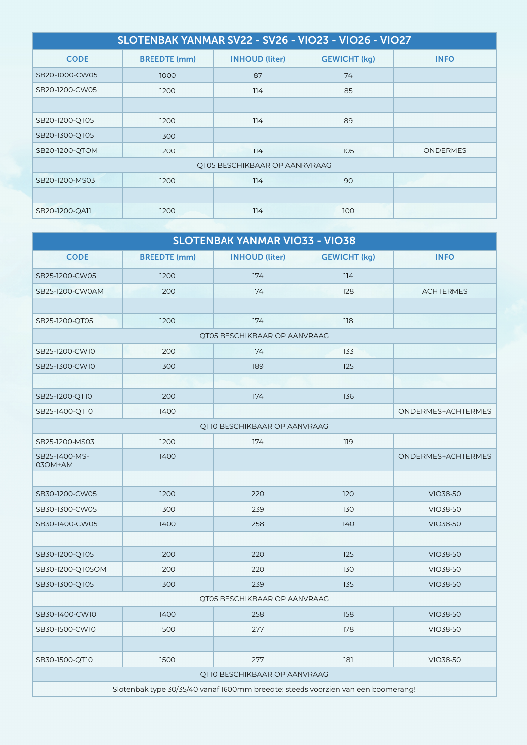| SLOTENBAK YANMAR SV22 - SV26 - VIO23 - VIO26 - VIO27 |                     |                       |                     |                 |  |
|------------------------------------------------------|---------------------|-----------------------|---------------------|-----------------|--|
| <b>CODE</b>                                          | <b>BREEDTE (mm)</b> | <b>INHOUD (liter)</b> | <b>GEWICHT (kg)</b> | <b>INFO</b>     |  |
| SB20-1000-CW05                                       | 1000                | 87                    | 74                  |                 |  |
| SB20-1200-CW05                                       | 1200                | 114                   | 85                  |                 |  |
|                                                      |                     |                       |                     |                 |  |
| SB20-1200-QT05                                       | 1200                | 114                   | 89                  |                 |  |
| SB20-1300-QT05                                       | 1300                |                       |                     |                 |  |
| SB20-1200-QTOM                                       | 1200                | 114                   | 105                 | <b>ONDERMES</b> |  |
| QT05 BESCHIKBAAR OP AANRVRAAG                        |                     |                       |                     |                 |  |
| SB20-1200-MS03                                       | 1200                | 114                   | 90                  |                 |  |
|                                                      |                     |                       |                     |                 |  |
| SB20-1200-QA11                                       | 1200                | 114                   | 100                 |                 |  |

| <b>SLOTENBAK YANMAR VIO33 - VIO38</b>                                            |                     |                              |                     |                    |  |
|----------------------------------------------------------------------------------|---------------------|------------------------------|---------------------|--------------------|--|
| <b>CODE</b>                                                                      | <b>BREEDTE</b> (mm) | <b>INHOUD (liter)</b>        | <b>GEWICHT (kg)</b> | <b>INFO</b>        |  |
| SB25-1200-CW05                                                                   | 1200                | 174                          | 114                 |                    |  |
| SB25-1200-CW0AM                                                                  | 1200                | 174                          | 128                 | <b>ACHTERMES</b>   |  |
|                                                                                  |                     |                              |                     |                    |  |
| SB25-1200-QT05                                                                   | 1200                | 174                          | 118                 |                    |  |
|                                                                                  |                     | QT05 BESCHIKBAAR OP AANVRAAG |                     |                    |  |
| SB25-1200-CW10                                                                   | 1200                | 174                          | 133                 |                    |  |
| SB25-1300-CW10                                                                   | 1300                | 189                          | 125                 |                    |  |
|                                                                                  |                     |                              |                     |                    |  |
| SB25-1200-QT10                                                                   | 1200                | 174                          | 136                 |                    |  |
| SB25-1400-QT10                                                                   | 1400                |                              |                     | ONDERMES+ACHTERMES |  |
|                                                                                  |                     | QT10 BESCHIKBAAR OP AANVRAAG |                     |                    |  |
| SB25-1200-MS03                                                                   | 1200                | 174                          | 119                 |                    |  |
| SB25-1400-MS-<br>03OM+AM                                                         | 1400                |                              |                     | ONDERMES+ACHTERMES |  |
|                                                                                  |                     |                              |                     |                    |  |
| SB30-1200-CW05                                                                   | 1200                | 220                          | 120                 | VIO38-50           |  |
| SB30-1300-CW05                                                                   | 1300                | 239                          | 130                 | VIO38-50           |  |
| SB30-1400-CW05                                                                   | 1400                | 258                          | 140                 | VIO38-50           |  |
|                                                                                  |                     |                              |                     |                    |  |
| SB30-1200-QT05                                                                   | 1200                | 220                          | 125                 | VIO38-50           |  |
| SB30-1200-QT05OM                                                                 | 1200                | 220                          | 130                 | VIO38-50           |  |
| SB30-1300-QT05                                                                   | 1300                | 239                          | 135                 | VIO38-50           |  |
| QT05 BESCHIKBAAR OP AANVRAAG                                                     |                     |                              |                     |                    |  |
| SB30-1400-CW10                                                                   | 1400                | 258                          | 158                 | VIO38-50           |  |
| SB30-1500-CW10                                                                   | 1500                | 277                          | 178                 | VIO38-50           |  |
|                                                                                  |                     |                              |                     |                    |  |
| SB30-1500-QT10                                                                   | 1500                | 277                          | 181                 | VIO38-50           |  |
| QT10 BESCHIKBAAR OP AANVRAAG                                                     |                     |                              |                     |                    |  |
| Slotenbak type 30/35/40 vanaf 1600mm breedte: steeds voorzien van een boomerang! |                     |                              |                     |                    |  |